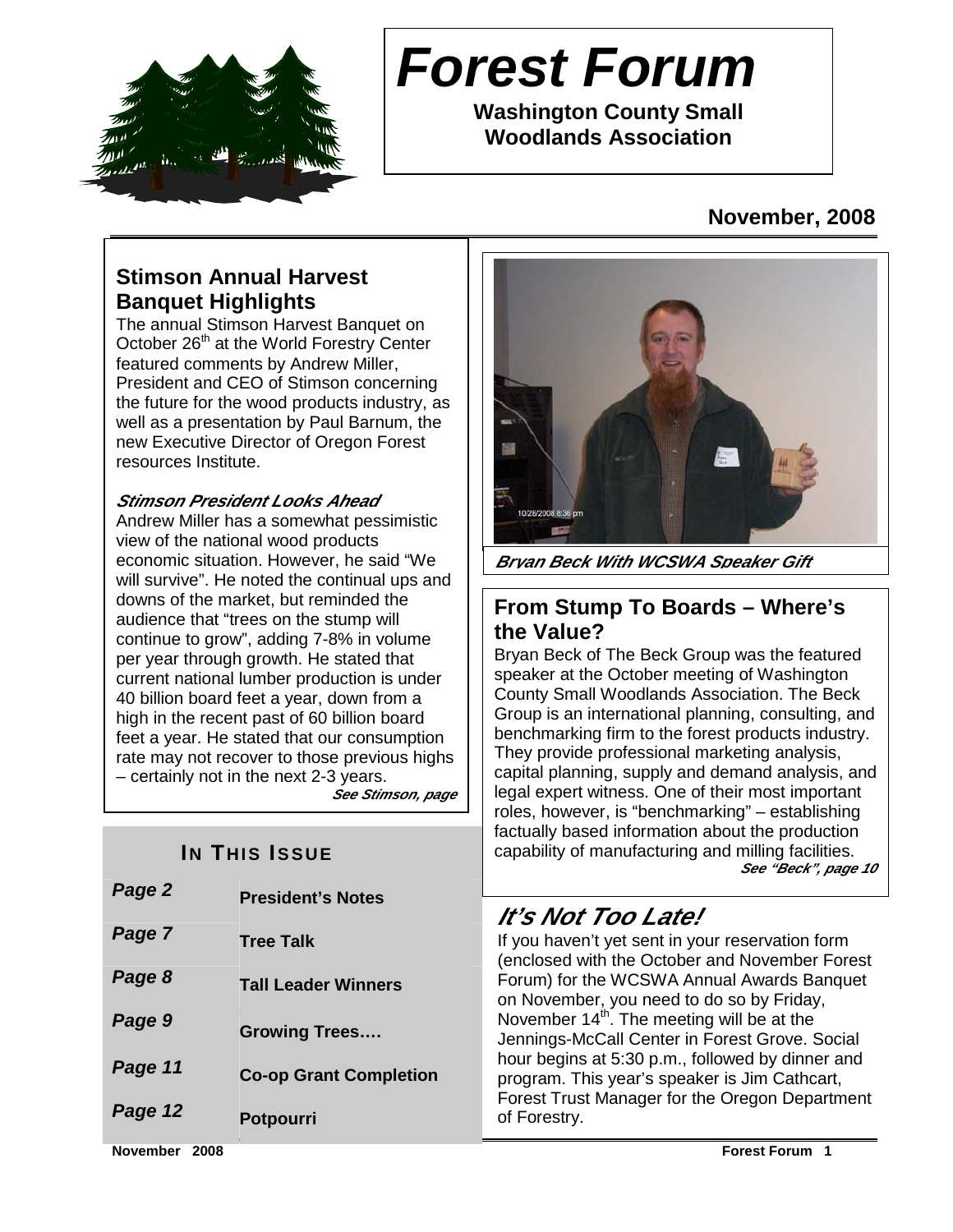

# **Forest Forum**

**Washington County Small Woodlands Association** 

### **November, 2008**

### **Stimson Annual Harvest Banquet Highlights**

The annual Stimson Harvest Banquet on October 26<sup>th</sup> at the World Forestry Center featured comments by Andrew Miller, President and CEO of Stimson concerning the future for the wood products industry, as well as a presentation by Paul Barnum, the new Executive Director of Oregon Forest resources Institute.

#### **Stimson President Looks Ahead**

Andrew Miller has a somewhat pessimistic view of the national wood products economic situation. However, he said "We will survive". He noted the continual ups and downs of the market, but reminded the audience that "trees on the stump will continue to grow", adding 7-8% in volume per year through growth. He stated that current national lumber production is under 40 billion board feet a year, down from a high in the recent past of 60 billion board feet a year. He stated that our consumption rate may not recover to those previous highs – certainly not in the next 2-3 years. **See Stimson, page** 

### **IN THIS ISSUE**

| Page 2  | <b>President's Notes</b>      |
|---------|-------------------------------|
| Page 7  | <b>Tree Talk</b>              |
| Page 8  | <b>Tall Leader Winners</b>    |
| Page 9  | <b>Growing Trees</b>          |
| Page 11 | <b>Co-op Grant Completion</b> |
| Page 12 | <b>Potpourri</b>              |
|         |                               |



**Bryan Beck With WCSWA Speaker Gift**

#### **From Stump To Boards – Where's the Value?**

Bryan Beck of The Beck Group was the featured speaker at the October meeting of Washington County Small Woodlands Association. The Beck Group is an international planning, consulting, and benchmarking firm to the forest products industry. They provide professional marketing analysis, capital planning, supply and demand analysis, and legal expert witness. One of their most important roles, however, is "benchmarking" – establishing factually based information about the production capability of manufacturing and milling facilities. **See "Beck", page 10**

### **It's Not Too Late!**

If you haven't yet sent in your reservation form (enclosed with the October and November Forest Forum) for the WCSWA Annual Awards Banquet on November, you need to do so by Friday, November  $14<sup>th</sup>$ . The meeting will be at the Jennings-McCall Center in Forest Grove. Social hour begins at 5:30 p.m., followed by dinner and program. This year's speaker is Jim Cathcart, Forest Trust Manager for the Oregon Department of Forestry.

**November 2008 Forest Forum 1**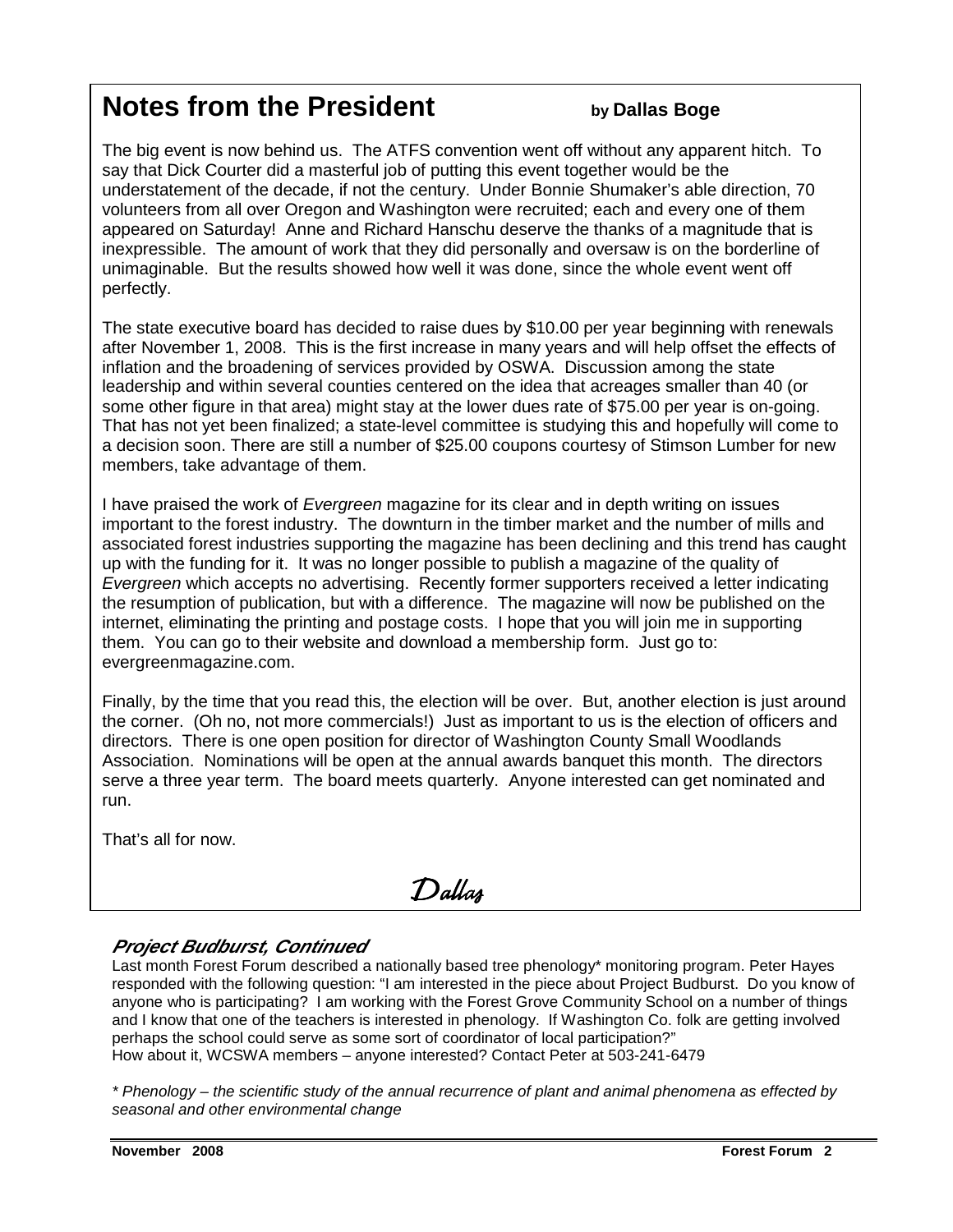## **Notes from the President by Dallas Boge**

The big event is now behind us. The ATFS convention went off without any apparent hitch. To say that Dick Courter did a masterful job of putting this event together would be the understatement of the decade, if not the century. Under Bonnie Shumaker's able direction, 70 volunteers from all over Oregon and Washington were recruited; each and every one of them appeared on Saturday! Anne and Richard Hanschu deserve the thanks of a magnitude that is inexpressible. The amount of work that they did personally and oversaw is on the borderline of unimaginable. But the results showed how well it was done, since the whole event went off perfectly.

The state executive board has decided to raise dues by \$10.00 per year beginning with renewals after November 1, 2008. This is the first increase in many years and will help offset the effects of inflation and the broadening of services provided by OSWA. Discussion among the state leadership and within several counties centered on the idea that acreages smaller than 40 (or some other figure in that area) might stay at the lower dues rate of \$75.00 per year is on-going. That has not yet been finalized; a state-level committee is studying this and hopefully will come to a decision soon. There are still a number of \$25.00 coupons courtesy of Stimson Lumber for new members, take advantage of them.

I have praised the work of Evergreen magazine for its clear and in depth writing on issues important to the forest industry. The downturn in the timber market and the number of mills and associated forest industries supporting the magazine has been declining and this trend has caught up with the funding for it. It was no longer possible to publish a magazine of the quality of Evergreen which accepts no advertising. Recently former supporters received a letter indicating the resumption of publication, but with a difference. The magazine will now be published on the internet, eliminating the printing and postage costs. I hope that you will join me in supporting them. You can go to their website and download a membership form. Just go to: evergreenmagazine.com.

Finally, by the time that you read this, the election will be over. But, another election is just around the corner. (Oh no, not more commercials!) Just as important to us is the election of officers and directors. There is one open position for director of Washington County Small Woodlands Association. Nominations will be open at the annual awards banquet this month. The directors serve a three year term. The board meets quarterly. Anyone interested can get nominated and run.

That's all for now.

## Dallas

#### **Project Budburst, Continued**

Last month Forest Forum described a nationally based tree phenology\* monitoring program. Peter Hayes responded with the following question: "I am interested in the piece about Project Budburst. Do you know of anyone who is participating? I am working with the Forest Grove Community School on a number of things and I know that one of the teachers is interested in phenology. If Washington Co. folk are getting involved perhaps the school could serve as some sort of coordinator of local participation?" How about it, WCSWA members – anyone interested? Contact Peter at 503-241-6479

\* Phenology – the scientific study of the annual recurrence of plant and animal phenomena as effected by seasonal and other environmental change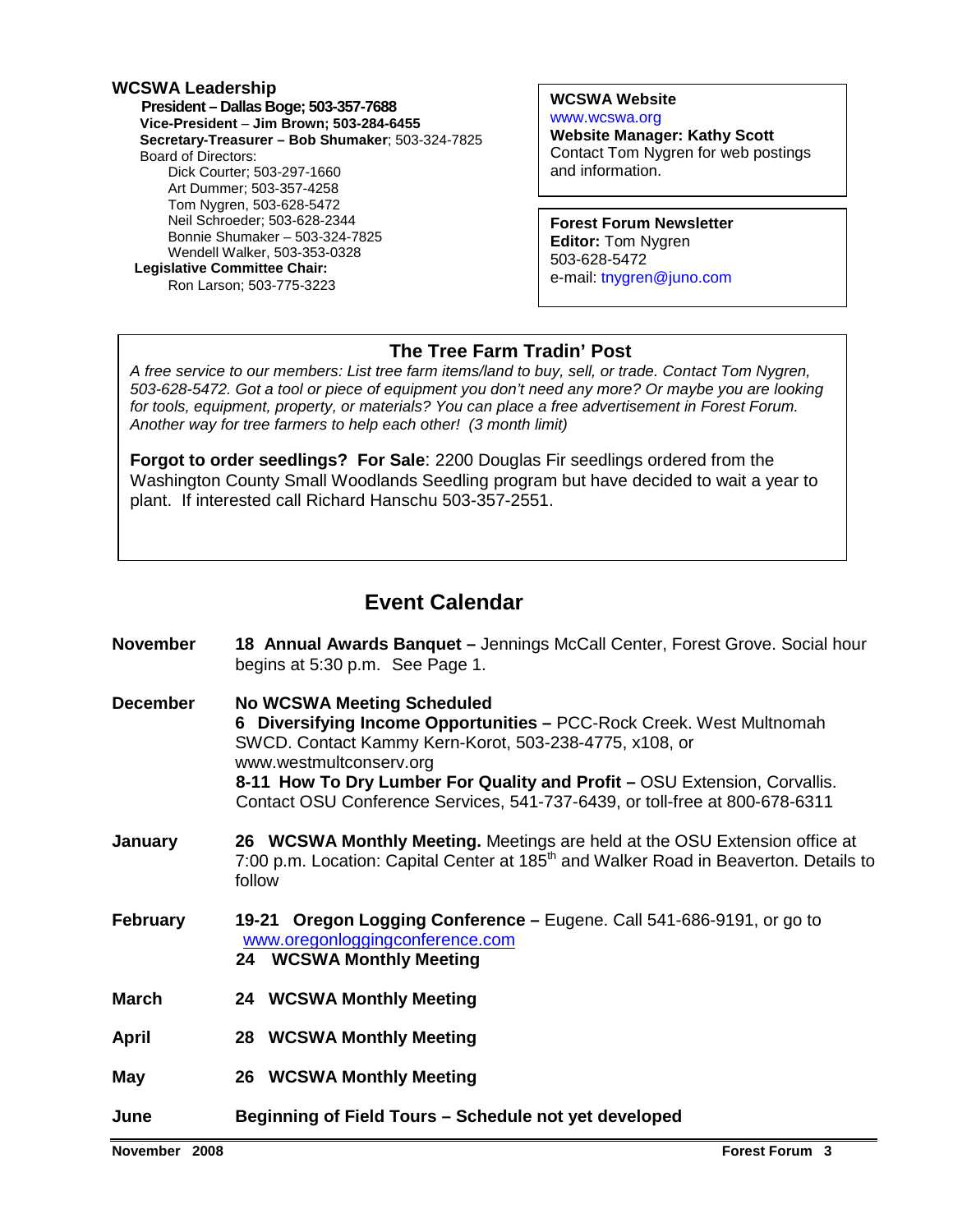#### **WCSWA Leadership**

 **President – Dallas Boge; 503-357-7688 Vice-President** – **Jim Brown; 503-284-6455 Secretary-Treasurer – Bob Shumaker**; 503-324-7825 Board of Directors: Dick Courter; 503-297-1660 Art Dummer; 503-357-4258 Tom Nygren, 503-628-5472 Neil Schroeder; 503-628-2344 Bonnie Shumaker – 503-324-7825 Wendell Walker, 503-353-0328  **Legislative Committee Chair:**  Ron Larson; 503-775-3223

**WCSWA Website** www.wcswa.org

**Website Manager: Kathy Scott** Contact Tom Nygren for web postings and information.

**Forest Forum Newsletter Editor:** Tom Nygren 503-628-5472 e-mail: tnygren@juno.com

#### **The Tree Farm Tradin' Post**

 for tools, equipment, property, or materials? You can place a free advertisement in Forest Forum. A free service to our members: List tree farm items/land to buy, sell, or trade. Contact Tom Nygren, 503-628-5472. Got a tool or piece of equipment you don't need any more? Or maybe you are looking Another way for tree farmers to help each other! (3 month limit)

**Forgot to order seedlings? For Sale**: 2200 Douglas Fir seedlings ordered from the Washington County Small Woodlands Seedling program but have decided to wait a year to plant. If interested call Richard Hanschu 503-357-2551.

#### **Event Calendar**

| <b>November</b> | 18 Annual Awards Banquet - Jennings McCall Center, Forest Grove. Social hour<br>begins at 5:30 p.m. See Page 1.                                                                                                                                                                                                                                            |  |  |  |  |
|-----------------|------------------------------------------------------------------------------------------------------------------------------------------------------------------------------------------------------------------------------------------------------------------------------------------------------------------------------------------------------------|--|--|--|--|
| <b>December</b> | <b>No WCSWA Meeting Scheduled</b><br>6 Diversifying Income Opportunities - PCC-Rock Creek. West Multnomah<br>SWCD. Contact Kammy Kern-Korot, 503-238-4775, x108, or<br>www.westmultconserv.org<br>8-11 How To Dry Lumber For Quality and Profit - OSU Extension, Corvallis.<br>Contact OSU Conference Services, 541-737-6439, or toll-free at 800-678-6311 |  |  |  |  |
| January         | 26 WCSWA Monthly Meeting. Meetings are held at the OSU Extension office at<br>7:00 p.m. Location: Capital Center at 185 <sup>th</sup> and Walker Road in Beaverton. Details to<br>follow                                                                                                                                                                   |  |  |  |  |
| <b>February</b> | 19-21 Oregon Logging Conference – Eugene. Call 541-686-9191, or go to<br>www.oregonloggingconference.com<br>24 WCSWA Monthly Meeting                                                                                                                                                                                                                       |  |  |  |  |
| <b>March</b>    | 24 WCSWA Monthly Meeting                                                                                                                                                                                                                                                                                                                                   |  |  |  |  |
| <b>April</b>    | 28 WCSWA Monthly Meeting                                                                                                                                                                                                                                                                                                                                   |  |  |  |  |
| May             | 26 WCSWA Monthly Meeting                                                                                                                                                                                                                                                                                                                                   |  |  |  |  |
| June            | Beginning of Field Tours - Schedule not yet developed                                                                                                                                                                                                                                                                                                      |  |  |  |  |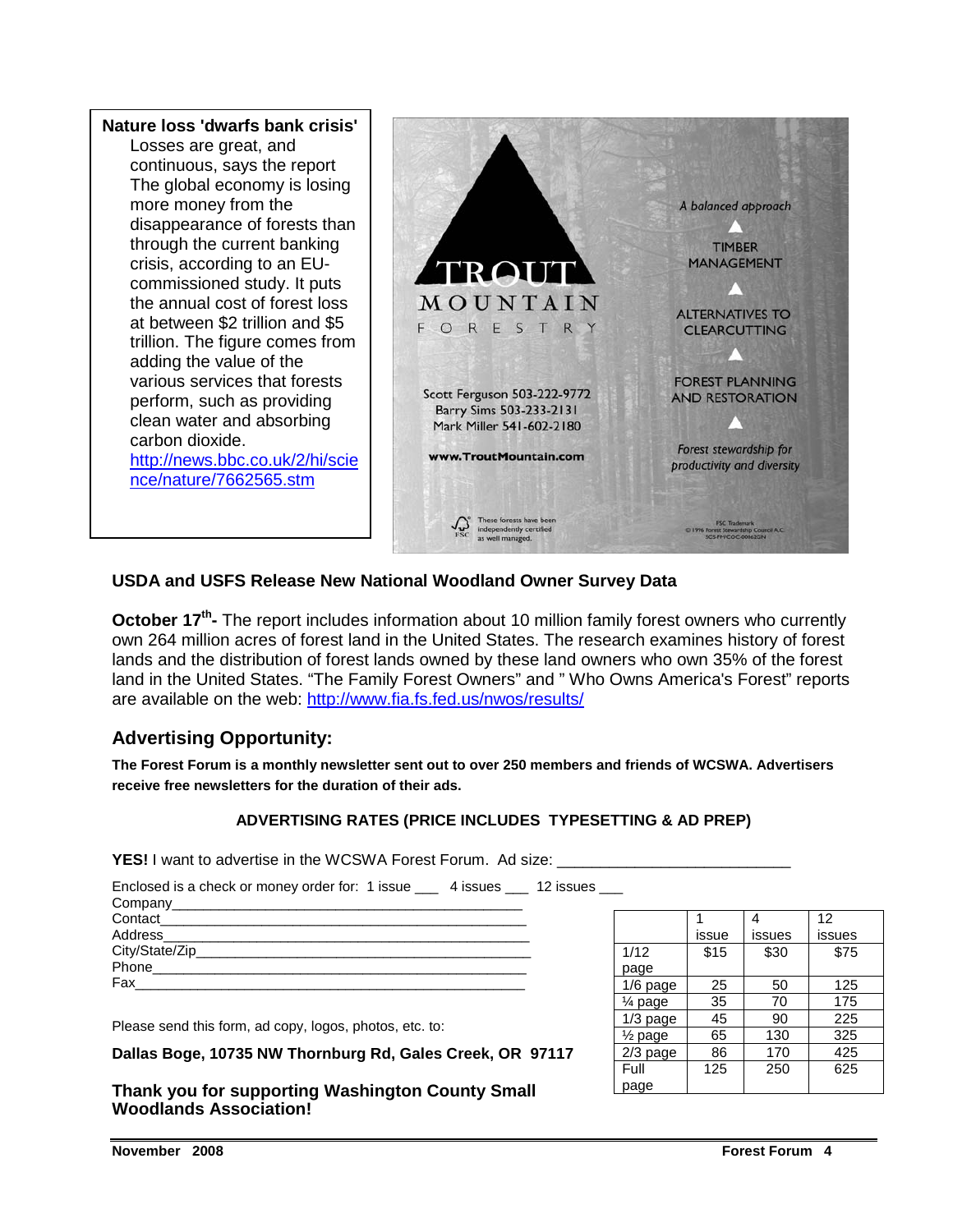

#### **USDA and USFS Release New National Woodland Owner Survey Data**

October 17<sup>th</sup> The report includes information about 10 million family forest owners who currently own 264 million acres of forest land in the United States. The research examines history of forest lands and the distribution of forest lands owned by these land owners who own 35% of the forest land in the United States. "The Family Forest Owners" and " Who Owns America's Forest" reports are available on the web: http://www.fia.fs.fed.us/nwos/results/

#### **Advertising Opportunity:**

**The Forest Forum is a monthly newsletter sent out to over 250 members and friends of WCSWA. Advertisers receive free newsletters for the duration of their ads.** 

#### **ADVERTISING RATES (PRICE INCLUDES TYPESETTING & AD PREP)**

**YES!** I want to advertise in the WCSWA Forest Forum. Ad size:

| Enclosed is a check or money order for: 1 issue ___ 4 issues ___ 12 issues ___ |  |
|--------------------------------------------------------------------------------|--|
|                                                                                |  |
|                                                                                |  |
|                                                                                |  |
|                                                                                |  |
|                                                                                |  |
| Fax ______________                                                             |  |
|                                                                                |  |

Please send this form, ad copy, logos, photos, etc. to:

**Dallas Boge, 10735 NW Thornburg Rd, Gales Creek, OR 97117** 

**Thank you for supporting Washington County Small Woodlands Association!** 

|                    |       |        | 12     |
|--------------------|-------|--------|--------|
|                    | issue | issues | issues |
| 1/12               | \$15  | \$30   | \$75   |
| page               |       |        |        |
| $1/6$ page         | 25    | 50     | 125    |
| 1⁄4 page           | 35    | 70     | 175    |
| $1/3$ page         | 45    | 90     | 225    |
| $\frac{1}{2}$ page | 65    | 130    | 325    |
| $2/3$ page         | 86    | 170    | 425    |
| Full               | 125   | 250    | 625    |
| page               |       |        |        |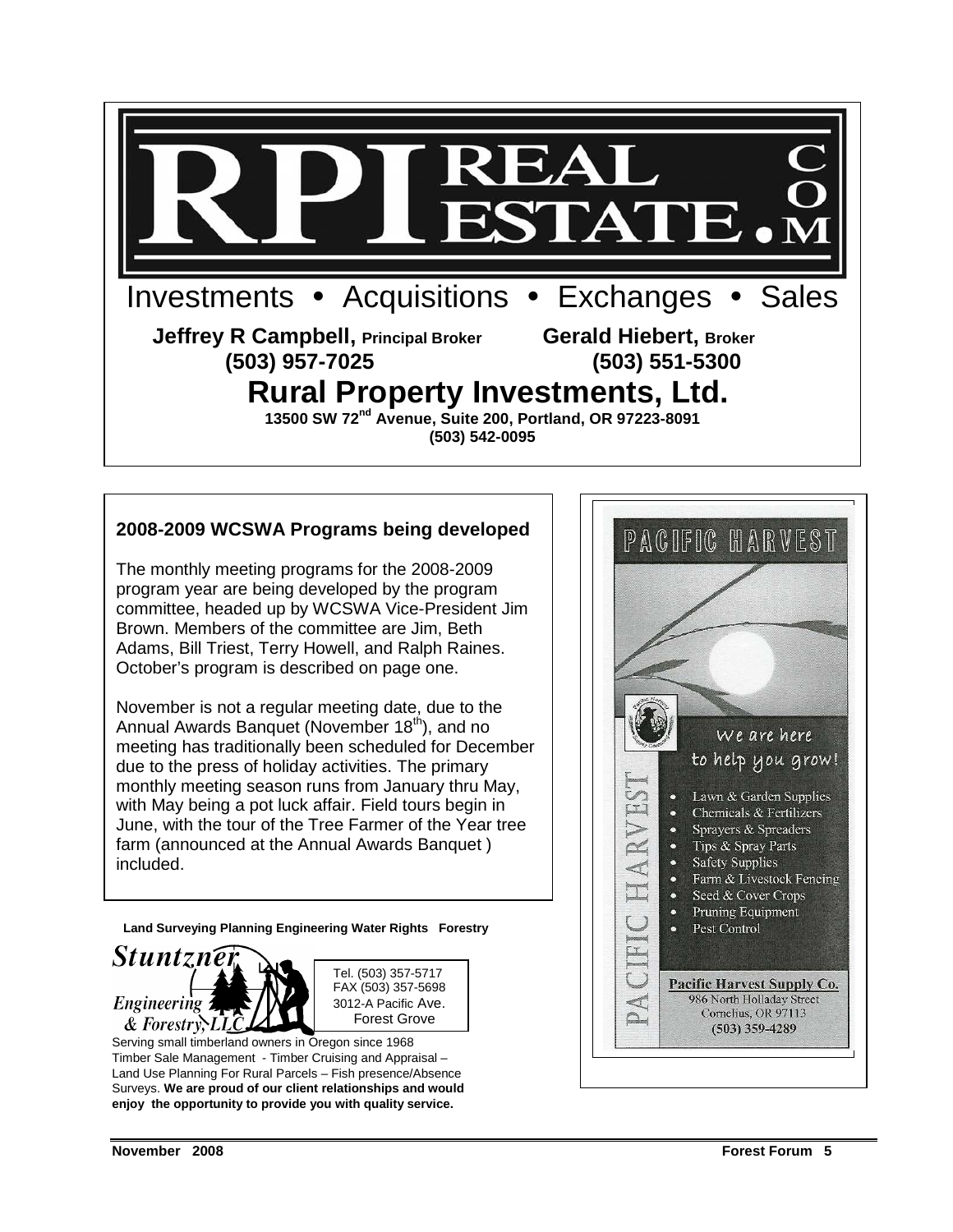

#### **2008-2009 WCSWA Programs being developed**

The monthly meeting programs for the 2008-2009 program year are being developed by the program committee, headed up by WCSWA Vice-President Jim Brown. Members of the committee are Jim, Beth Adams, Bill Triest, Terry Howell, and Ralph Raines. October's program is described on page one.

November is not a regular meeting date, due to the Annual Awards Banquet (November 18<sup>th</sup>), and no meeting has traditionally been scheduled for December due to the press of holiday activities. The primary monthly meeting season runs from January thru May, with May being a pot luck affair. Field tours begin in June, with the tour of the Tree Farmer of the Year tree farm (announced at the Annual Awards Banquet ) included.

**Land Surveying Planning Engineering Water Rights Forestry** 





Serving small timberland owners in Oregon since 1968 Timber Sale Management - Timber Cruising and Appraisal – Land Use Planning For Rural Parcels – Fish presence/Absence Surveys. **We are proud of our client relationships and would enjoy the opportunity to provide you with quality service.** 

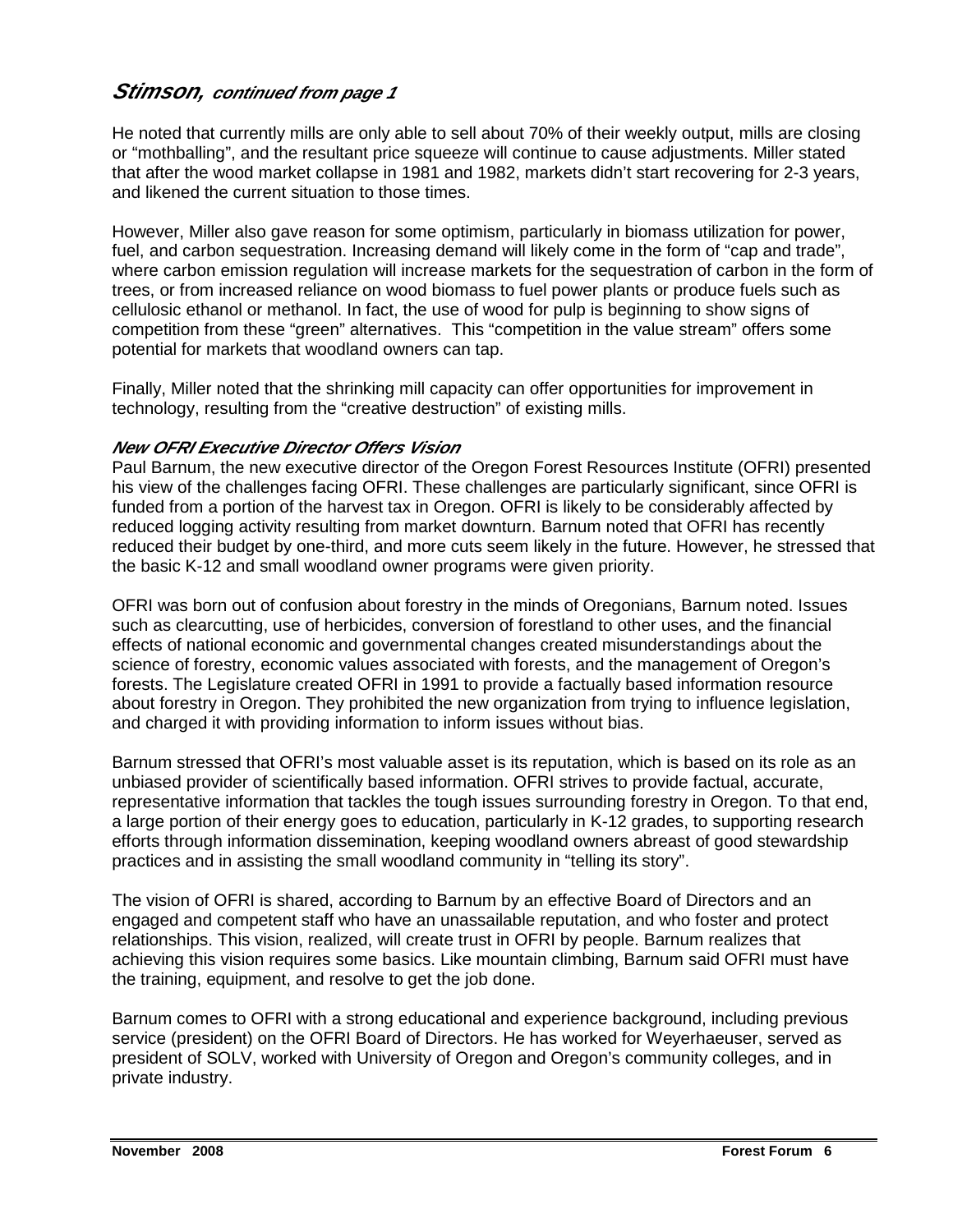#### **Stimson, continued from page 1**

He noted that currently mills are only able to sell about 70% of their weekly output, mills are closing or "mothballing", and the resultant price squeeze will continue to cause adjustments. Miller stated that after the wood market collapse in 1981 and 1982, markets didn't start recovering for 2-3 years, and likened the current situation to those times.

However, Miller also gave reason for some optimism, particularly in biomass utilization for power, fuel, and carbon sequestration. Increasing demand will likely come in the form of "cap and trade", where carbon emission regulation will increase markets for the sequestration of carbon in the form of trees, or from increased reliance on wood biomass to fuel power plants or produce fuels such as cellulosic ethanol or methanol. In fact, the use of wood for pulp is beginning to show signs of competition from these "green" alternatives. This "competition in the value stream" offers some potential for markets that woodland owners can tap.

Finally, Miller noted that the shrinking mill capacity can offer opportunities for improvement in technology, resulting from the "creative destruction" of existing mills.

#### **New OFRI Executive Director Offers Vision**

Paul Barnum, the new executive director of the Oregon Forest Resources Institute (OFRI) presented his view of the challenges facing OFRI. These challenges are particularly significant, since OFRI is funded from a portion of the harvest tax in Oregon. OFRI is likely to be considerably affected by reduced logging activity resulting from market downturn. Barnum noted that OFRI has recently reduced their budget by one-third, and more cuts seem likely in the future. However, he stressed that the basic K-12 and small woodland owner programs were given priority.

OFRI was born out of confusion about forestry in the minds of Oregonians, Barnum noted. Issues such as clearcutting, use of herbicides, conversion of forestland to other uses, and the financial effects of national economic and governmental changes created misunderstandings about the science of forestry, economic values associated with forests, and the management of Oregon's forests. The Legislature created OFRI in 1991 to provide a factually based information resource about forestry in Oregon. They prohibited the new organization from trying to influence legislation, and charged it with providing information to inform issues without bias.

Barnum stressed that OFRI's most valuable asset is its reputation, which is based on its role as an unbiased provider of scientifically based information. OFRI strives to provide factual, accurate, representative information that tackles the tough issues surrounding forestry in Oregon. To that end, a large portion of their energy goes to education, particularly in K-12 grades, to supporting research efforts through information dissemination, keeping woodland owners abreast of good stewardship practices and in assisting the small woodland community in "telling its story".

The vision of OFRI is shared, according to Barnum by an effective Board of Directors and an engaged and competent staff who have an unassailable reputation, and who foster and protect relationships. This vision, realized, will create trust in OFRI by people. Barnum realizes that achieving this vision requires some basics. Like mountain climbing, Barnum said OFRI must have the training, equipment, and resolve to get the job done.

Barnum comes to OFRI with a strong educational and experience background, including previous service (president) on the OFRI Board of Directors. He has worked for Weyerhaeuser, served as president of SOLV, worked with University of Oregon and Oregon's community colleges, and in private industry.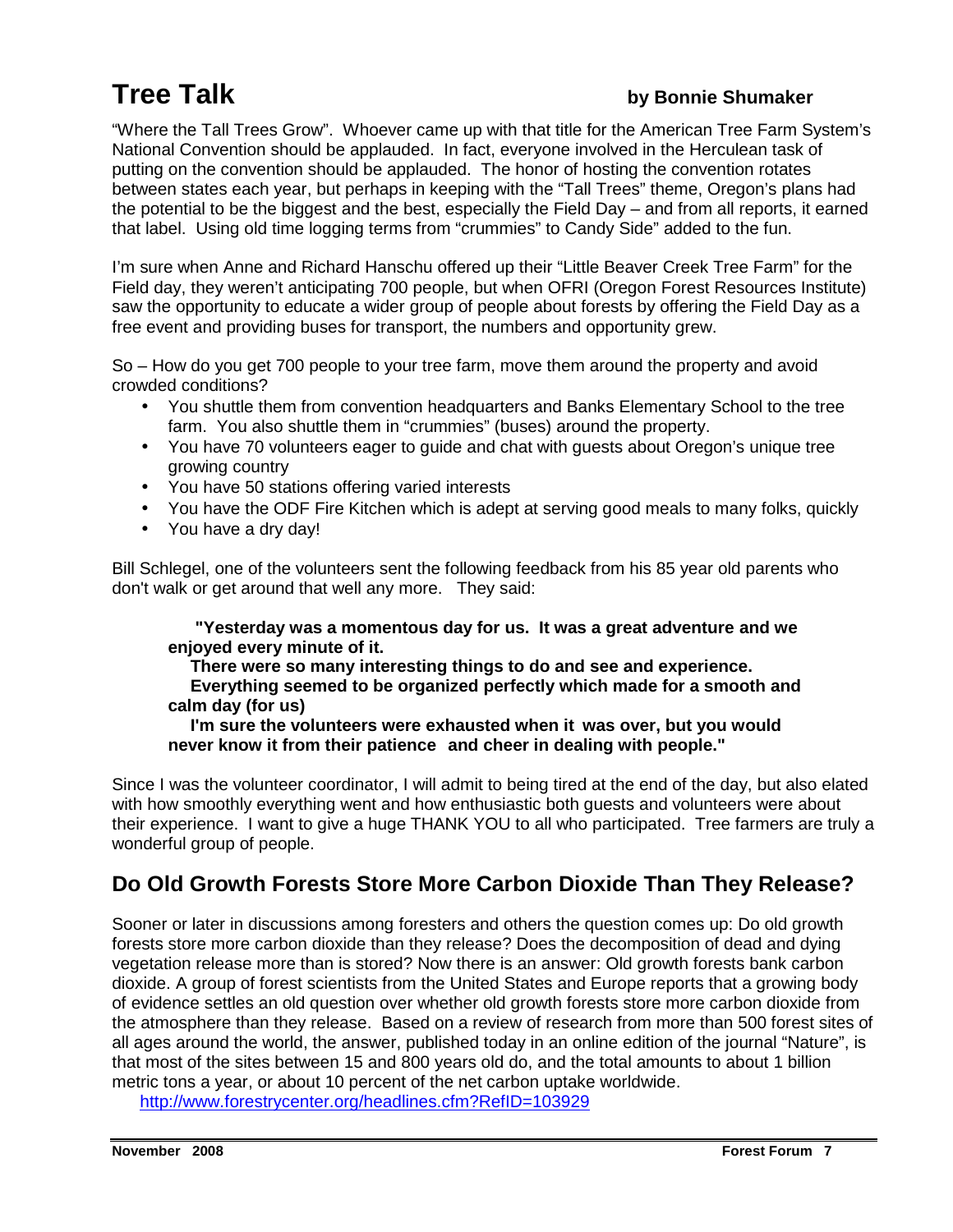### **Tree Talk** *by Bonnie Shumaker*

"Where the Tall Trees Grow". Whoever came up with that title for the American Tree Farm System's National Convention should be applauded. In fact, everyone involved in the Herculean task of putting on the convention should be applauded. The honor of hosting the convention rotates between states each year, but perhaps in keeping with the "Tall Trees" theme, Oregon's plans had the potential to be the biggest and the best, especially the Field Day – and from all reports, it earned that label. Using old time logging terms from "crummies" to Candy Side" added to the fun.

I'm sure when Anne and Richard Hanschu offered up their "Little Beaver Creek Tree Farm" for the Field day, they weren't anticipating 700 people, but when OFRI (Oregon Forest Resources Institute) saw the opportunity to educate a wider group of people about forests by offering the Field Day as a free event and providing buses for transport, the numbers and opportunity grew.

So – How do you get 700 people to your tree farm, move them around the property and avoid crowded conditions?

- You shuttle them from convention headquarters and Banks Elementary School to the tree farm. You also shuttle them in "crummies" (buses) around the property.
- You have 70 volunteers eager to quide and chat with quests about Oregon's unique tree growing country
- You have 50 stations offering varied interests
- You have the ODF Fire Kitchen which is adept at serving good meals to many folks, quickly
- You have a dry day!

Bill Schlegel, one of the volunteers sent the following feedback from his 85 year old parents who don't walk or get around that well any more. They said:

 **"Yesterday was a momentous day for us. It was a great adventure and we enjoyed every minute of it.** 

 **There were so many interesting things to do and see and experience. Everything seemed to be organized perfectly which made for a smooth and calm day (for us)** 

 **I'm sure the volunteers were exhausted when it was over, but you would never know it from their patience and cheer in dealing with people."** 

Since I was the volunteer coordinator, I will admit to being tired at the end of the day, but also elated with how smoothly everything went and how enthusiastic both guests and volunteers were about their experience. I want to give a huge THANK YOU to all who participated. Tree farmers are truly a wonderful group of people.

#### **Do Old Growth Forests Store More Carbon Dioxide Than They Release?**

Sooner or later in discussions among foresters and others the question comes up: Do old growth forests store more carbon dioxide than they release? Does the decomposition of dead and dying vegetation release more than is stored? Now there is an answer: Old growth forests bank carbon dioxide. A group of forest scientists from the United States and Europe reports that a growing body of evidence settles an old question over whether old growth forests store more carbon dioxide from the atmosphere than they release. Based on a review of research from more than 500 forest sites of all ages around the world, the answer, published today in an online edition of the journal "Nature", is that most of the sites between 15 and 800 years old do, and the total amounts to about 1 billion metric tons a year, or about 10 percent of the net carbon uptake worldwide.

http://www.forestrycenter.org/headlines.cfm?RefID=103929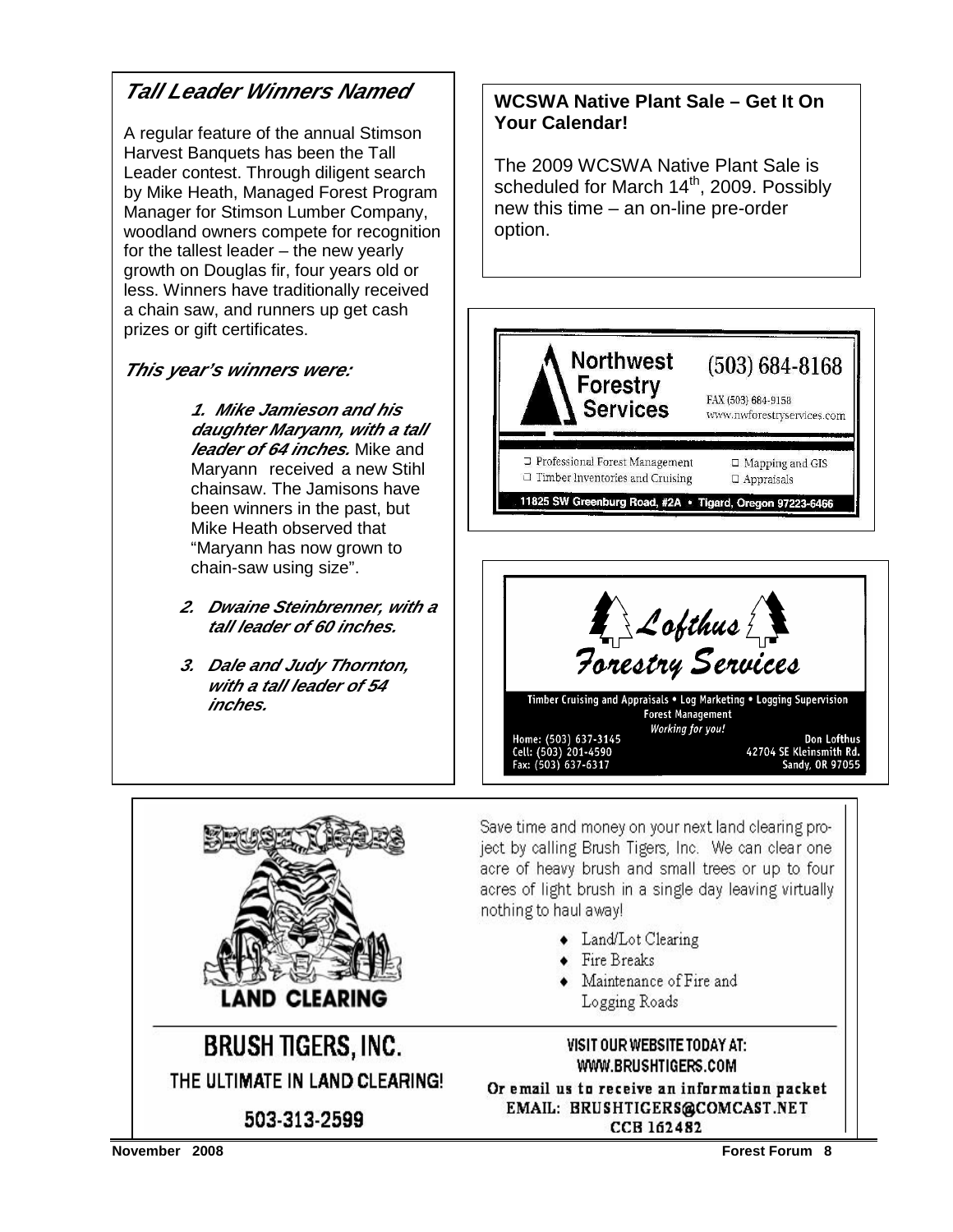#### **Tall Leader Winners Named**

A regular feature of the annual Stimson Harvest Banquets has been the Tall Leader contest. Through diligent search by Mike Heath, Managed Forest Program Manager for Stimson Lumber Company, woodland owners compete for recognition for the tallest leader – the new yearly growth on Douglas fir, four years old or less. Winners have traditionally received a chain saw, and runners up get cash prizes or gift certificates.

#### **This year's winners were:**

**1. Mike Jamieson and his daughter Maryann, with a tall leader of 64 inches.** Mike and Maryann received a new Stihl chainsaw. The Jamisons have been winners in the past, but Mike Heath observed that "Maryann has now grown to chain-saw using size".

- **2. Dwaine Steinbrenner, with a tall leader of 60 inches.**
- **3. Dale and Judy Thornton, with a tall leader of 54 inches.**

#### **WCSWA Native Plant Sale – Get It On Your Calendar!**

The 2009 WCSWA Native Plant Sale is scheduled for March  $14<sup>th</sup>$ , 2009. Possibly new this time – an on-line pre-order option.







Save time and money on your next land clearing project by calling Brush Tigers, Inc. We can clear one acre of heavy brush and small trees or up to four acres of light brush in a single day leaving virtually nothing to haul away!

- Land/Lot Clearing
- Fire Breaks
- Maintenance of Fire and Logging Roads

#### VISIT OUR WEBSITE TODAY AT: WWW.BRUSHTIGERS.COM

Or email us to receive an information packet EMAIL: BRUSHTIGERS@COMCAST.NET CCB 162482

503-313-2599

THE ULTIMATE IN LAND CLEARING!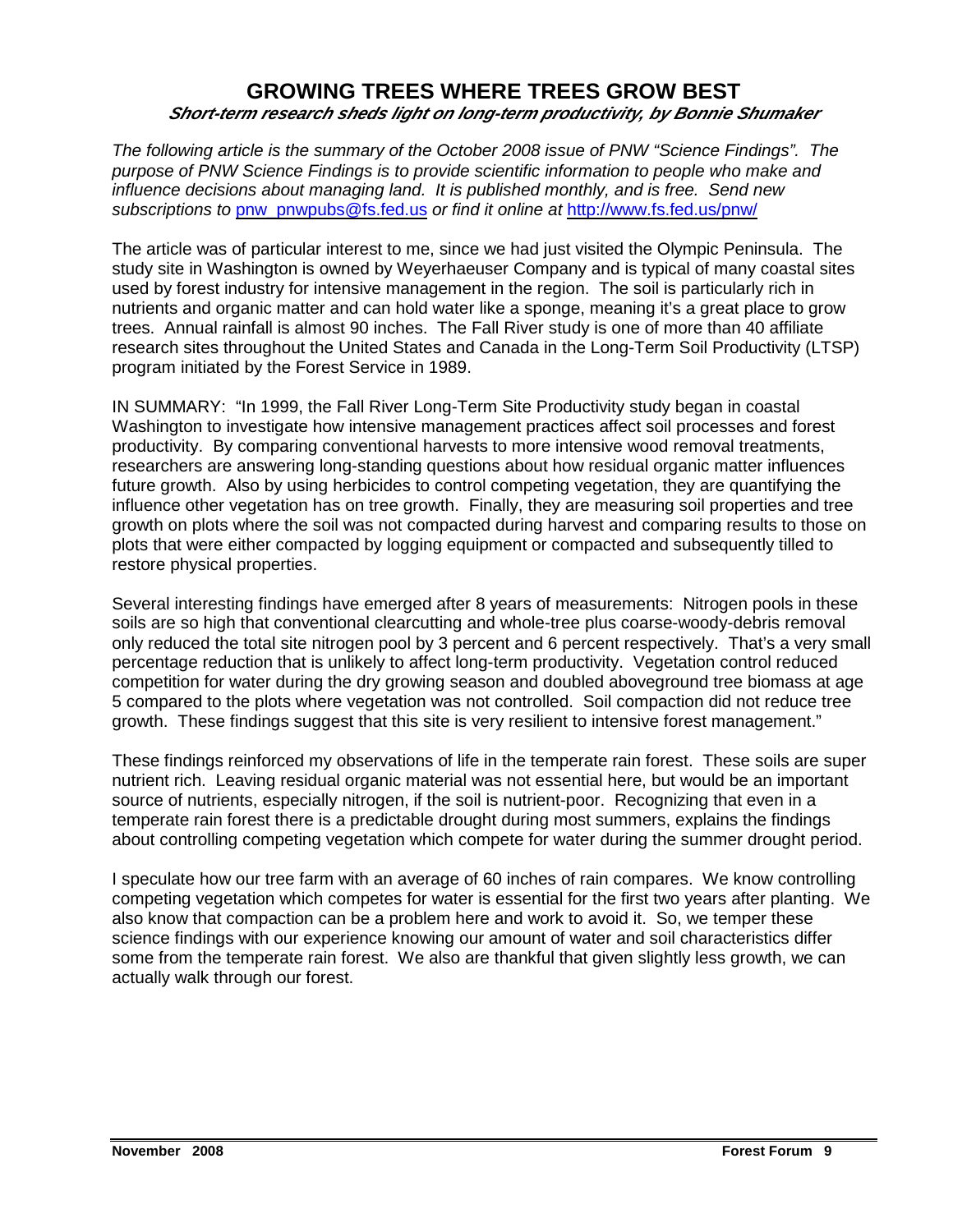#### **GROWING TREES WHERE TREES GROW BEST Short-term research sheds light on long-term productivity, by Bonnie Shumaker**

The following article is the summary of the October 2008 issue of PNW "Science Findings". The purpose of PNW Science Findings is to provide scientific information to people who make and influence decisions about managing land. It is published monthly, and is free. Send new subscriptions to pnw\_pnwpubs@fs.fed.us or find it online at http://www.fs.fed.us/pnw/

The article was of particular interest to me, since we had just visited the Olympic Peninsula. The study site in Washington is owned by Weyerhaeuser Company and is typical of many coastal sites used by forest industry for intensive management in the region. The soil is particularly rich in nutrients and organic matter and can hold water like a sponge, meaning it's a great place to grow trees. Annual rainfall is almost 90 inches. The Fall River study is one of more than 40 affiliate research sites throughout the United States and Canada in the Long-Term Soil Productivity (LTSP) program initiated by the Forest Service in 1989.

IN SUMMARY: "In 1999, the Fall River Long-Term Site Productivity study began in coastal Washington to investigate how intensive management practices affect soil processes and forest productivity. By comparing conventional harvests to more intensive wood removal treatments, researchers are answering long-standing questions about how residual organic matter influences future growth. Also by using herbicides to control competing vegetation, they are quantifying the influence other vegetation has on tree growth. Finally, they are measuring soil properties and tree growth on plots where the soil was not compacted during harvest and comparing results to those on plots that were either compacted by logging equipment or compacted and subsequently tilled to restore physical properties.

Several interesting findings have emerged after 8 years of measurements: Nitrogen pools in these soils are so high that conventional clearcutting and whole-tree plus coarse-woody-debris removal only reduced the total site nitrogen pool by 3 percent and 6 percent respectively. That's a very small percentage reduction that is unlikely to affect long-term productivity. Vegetation control reduced competition for water during the dry growing season and doubled aboveground tree biomass at age 5 compared to the plots where vegetation was not controlled. Soil compaction did not reduce tree growth. These findings suggest that this site is very resilient to intensive forest management."

These findings reinforced my observations of life in the temperate rain forest. These soils are super nutrient rich. Leaving residual organic material was not essential here, but would be an important source of nutrients, especially nitrogen, if the soil is nutrient-poor. Recognizing that even in a temperate rain forest there is a predictable drought during most summers, explains the findings about controlling competing vegetation which compete for water during the summer drought period.

I speculate how our tree farm with an average of 60 inches of rain compares. We know controlling competing vegetation which competes for water is essential for the first two years after planting. We also know that compaction can be a problem here and work to avoid it. So, we temper these science findings with our experience knowing our amount of water and soil characteristics differ some from the temperate rain forest. We also are thankful that given slightly less growth, we can actually walk through our forest.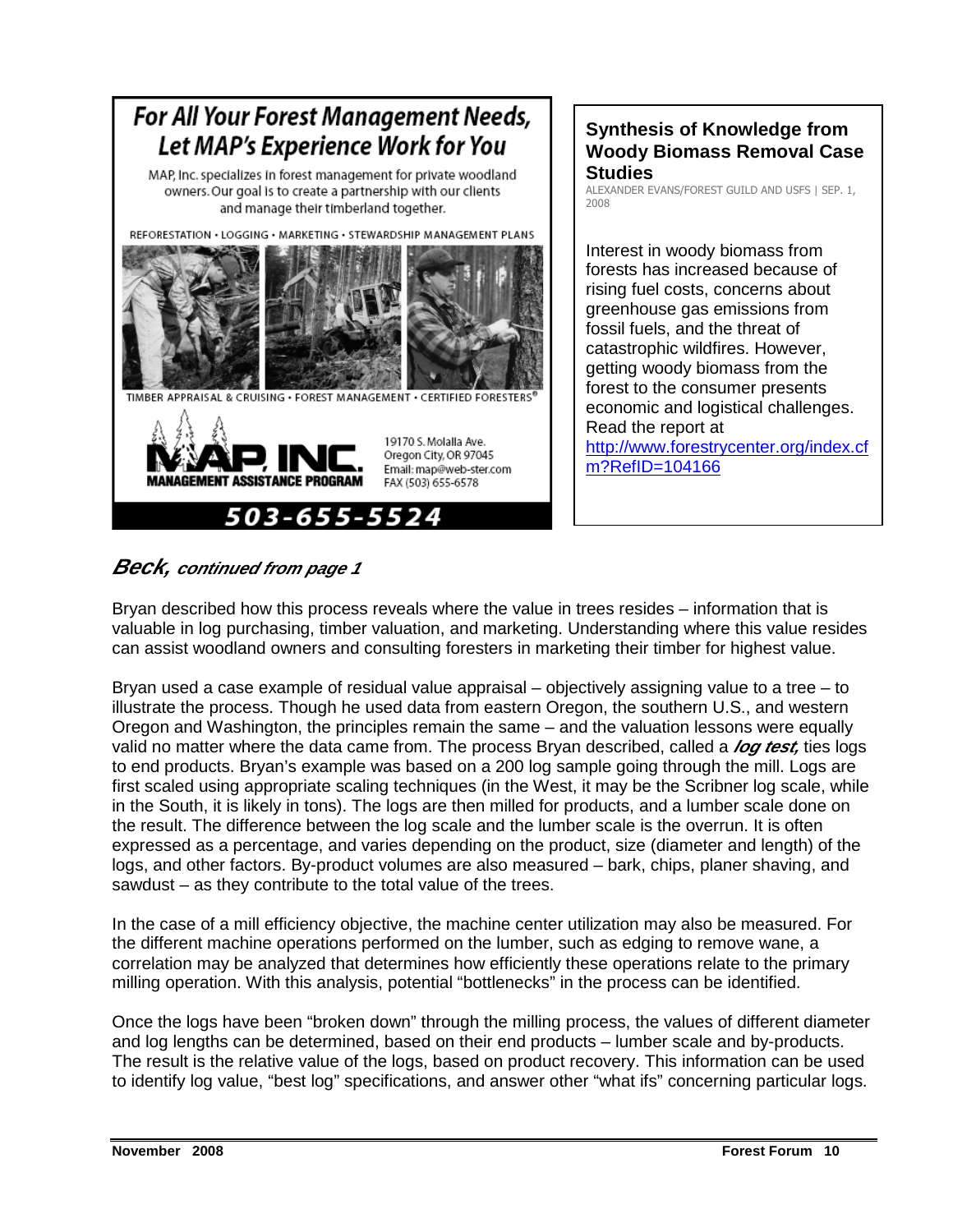

#### **Synthesis of Knowledge from Woody Biomass Removal Case Studies**

ALEXANDER EVANS/FOREST GUILD AND USFS | SEP. 1, 2008

Interest in woody biomass from forests has increased because of rising fuel costs, concerns about greenhouse gas emissions from fossil fuels, and the threat of catastrophic wildfires. However, getting woody biomass from the forest to the consumer presents economic and logistical challenges. Read the report at http://www.forestrycenter.org/index.cf m?RefID=104166

#### **Beck, continued from page 1**

Bryan described how this process reveals where the value in trees resides – information that is valuable in log purchasing, timber valuation, and marketing. Understanding where this value resides can assist woodland owners and consulting foresters in marketing their timber for highest value.

Bryan used a case example of residual value appraisal – objectively assigning value to a tree – to illustrate the process. Though he used data from eastern Oregon, the southern U.S., and western Oregon and Washington, the principles remain the same – and the valuation lessons were equally valid no matter where the data came from. The process Brvan described, called a **log test** ties logs to end products. Bryan's example was based on a 200 log sample going through the mill. Logs are first scaled using appropriate scaling techniques (in the West, it may be the Scribner log scale, while in the South, it is likely in tons). The logs are then milled for products, and a lumber scale done on the result. The difference between the log scale and the lumber scale is the overrun. It is often expressed as a percentage, and varies depending on the product, size (diameter and length) of the logs, and other factors. By-product volumes are also measured – bark, chips, planer shaving, and sawdust – as they contribute to the total value of the trees.

In the case of a mill efficiency objective, the machine center utilization may also be measured. For the different machine operations performed on the lumber, such as edging to remove wane, a correlation may be analyzed that determines how efficiently these operations relate to the primary milling operation. With this analysis, potential "bottlenecks" in the process can be identified.

Once the logs have been "broken down" through the milling process, the values of different diameter and log lengths can be determined, based on their end products – lumber scale and by-products. The result is the relative value of the logs, based on product recovery. This information can be used to identify log value, "best log" specifications, and answer other "what ifs" concerning particular logs.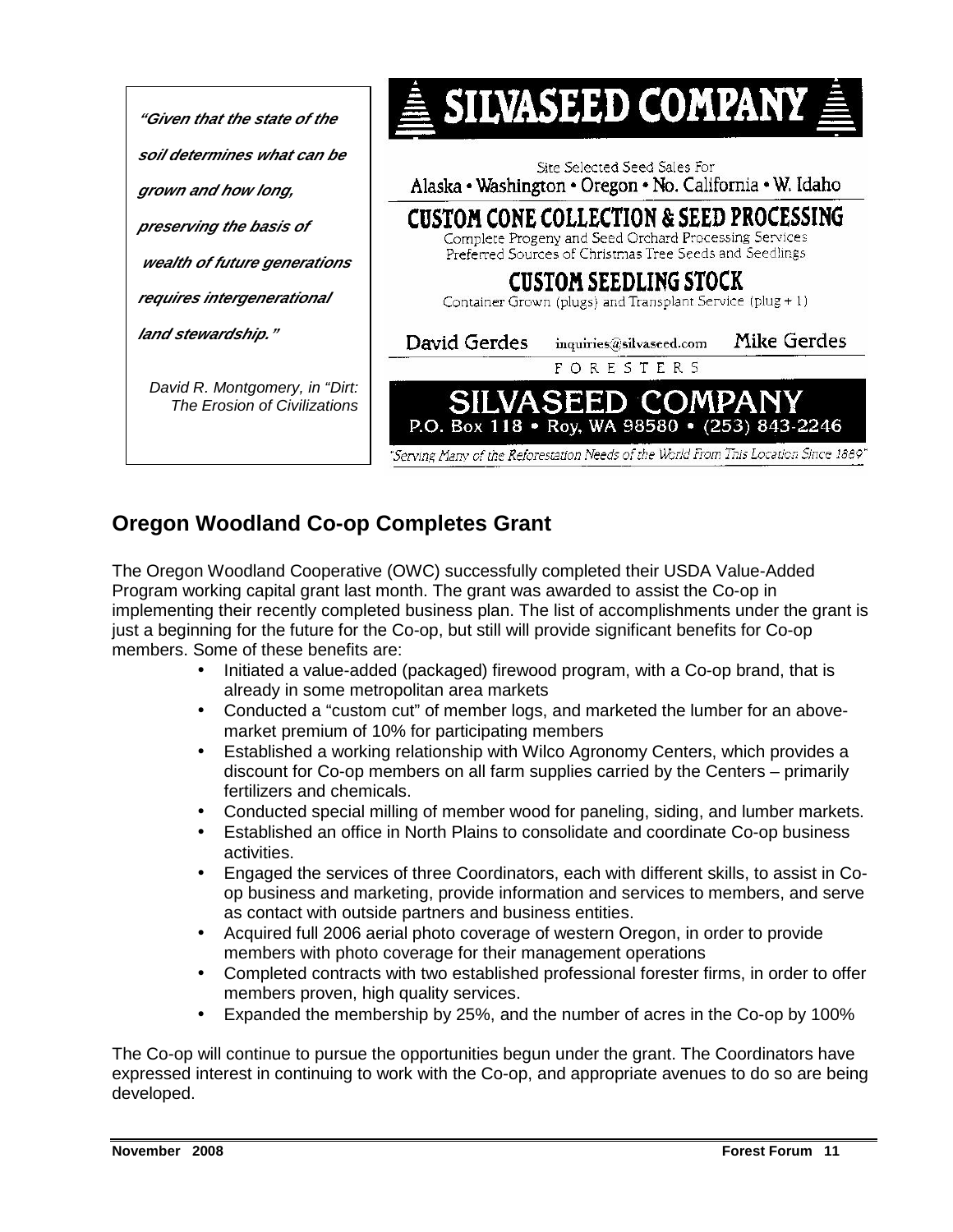

#### **Oregon Woodland Co-op Completes Grant**

The Oregon Woodland Cooperative (OWC) successfully completed their USDA Value-Added Program working capital grant last month. The grant was awarded to assist the Co-op in implementing their recently completed business plan. The list of accomplishments under the grant is just a beginning for the future for the Co-op, but still will provide significant benefits for Co-op members. Some of these benefits are:

- Initiated a value-added (packaged) firewood program, with a Co-op brand, that is already in some metropolitan area markets
- Conducted a "custom cut" of member logs, and marketed the lumber for an abovemarket premium of 10% for participating members
- Established a working relationship with Wilco Agronomy Centers, which provides a discount for Co-op members on all farm supplies carried by the Centers – primarily fertilizers and chemicals.
- Conducted special milling of member wood for paneling, siding, and lumber markets.
- Established an office in North Plains to consolidate and coordinate Co-op business activities.
- Engaged the services of three Coordinators, each with different skills, to assist in Coop business and marketing, provide information and services to members, and serve as contact with outside partners and business entities.
- Acquired full 2006 aerial photo coverage of western Oregon, in order to provide members with photo coverage for their management operations
- Completed contracts with two established professional forester firms, in order to offer members proven, high quality services.
- Expanded the membership by 25%, and the number of acres in the Co-op by 100%

The Co-op will continue to pursue the opportunities begun under the grant. The Coordinators have expressed interest in continuing to work with the Co-op, and appropriate avenues to do so are being developed.